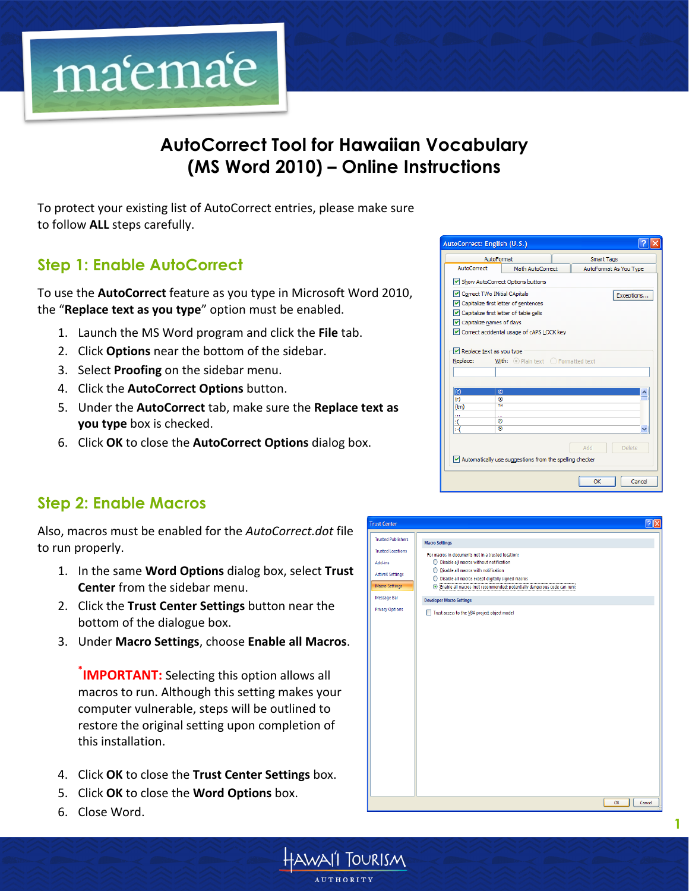

# **AutoCorrect Tool for Hawaiian Vocabulary (MS Word 2010) – Online Instructions**

To protect your existing list of AutoCorrect entries, please make sure to follow **ALL** steps carefully.

# **Step 1: Enable AutoCorrect**

To use the **AutoCorrect** feature as you type in Microsoft Word 2010, the "Replace text as you type" option must be enabled.

- 1. Launch the MS Word program and click the **File** tab.
- 2. Click **Options** near the bottom of the sidebar.
- 3. Select **Proofing** on the sidebar menu.
- 4. Click the **AutoCorrect Options** button.
- 5. Under the **AutoCorrect** tab, make sure the **Replace text as you type** box is checked.
- 6. Click OK to close the **AutoCorrect Options** dialog box.

#### **Step 2: Enable Macros**

Also, macros must be enabled for the *AutoCorrect.dot* file to run properly.

- 1. In the same **Word Options** dialog box, select Trust **Center** from the sidebar menu.
- 2. Click the **Trust Center Settings** button near the bottom of the dialogue box.
- 3. Under **Macro Settings**, choose **Enable all Macros**.

*IMPORTANT:* Selecting this option allows all macros to run. Although this setting makes your computer vulnerable, steps will be outlined to restore the original setting upon completion of this installation.

- 4. Click OK to close the **Trust Center Settings** box.
- 5. Click OK to close the **Word Options** box.
- 6. Close Word.







**1**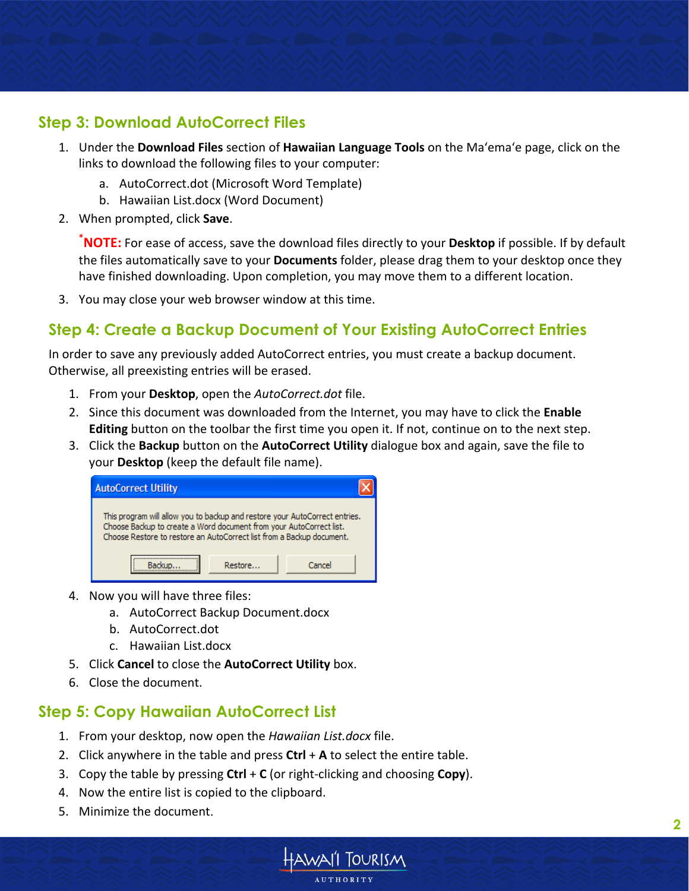## **Step 3: Download AutoCorrect Files**

- 1. Under the **Download Files** section of **Hawaiian Language Tools** on the Ma'ema'e page, click on the links to download the following files to your computer:
	- a. AutoCorrect.dot (Microsoft Word Template)
	- b. Hawaiian List.docx (Word Document)
- 2. When prompted, click **Save**.

**\*NOTE:** For ease of access, save the download files directly to your **Desktop** if possible. If by default the files automatically save to your **Documents** folder, please drag them to your desktop once they have finished downloading. Upon completion, you may move them to a different location.

3. You may close your web browser window at this time.

## **Step 4: Create a Backup Document of Your Existing AutoCorrect Entries**

In order to save any previously added AutoCorrect entries, you must create a backup document. Otherwise, all preexisting entries will be erased.

- 1. From your **Desktop**, open the *AutoCorrect.dot* file.
- 2. Since this document was downloaded from the Internet, you may have to click the **Enable Editing** button on the toolbar the first time you open it. If not, continue on to the next step.
- 3. Click the **Backup** button on the **AutoCorrect Utility** dialogue box and again, save the file to your **Desktop** (keep the default file name).

| <b>AutoCorrect Utility</b>                                                                                                                                                                                                  |         |        |
|-----------------------------------------------------------------------------------------------------------------------------------------------------------------------------------------------------------------------------|---------|--------|
| This program will allow you to backup and restore your AutoCorrect entries.<br>Choose Backup to create a Word document from your AutoCorrect list.<br>Choose Restore to restore an AutoCorrect list from a Backup document. |         |        |
|                                                                                                                                                                                                                             | Restore | Cancel |

- 4. Now you will have three files:
	- a. AutoCorrect Backup Document.docx
	- b. AutoCorrect.dot
	- c. Hawaiian List.docx
- 5. Click **Cancel** to close the **AutoCorrect Utility** box.
- 6. Close the document.

# **Step 5: Copy Hawaiian AutoCorrect List**

- 1. From your desktop, now open the *Hawaiian List.docx* file.
- 2. Click anywhere in the table and press Ctrl + A to select the entire table.
- 3. Copy the table by pressing **Ctrl** + **C** (or right-clicking and choosing **Copy**).
- 4. Now the entire list is copied to the clipboard.
- 5. Minimize the document.